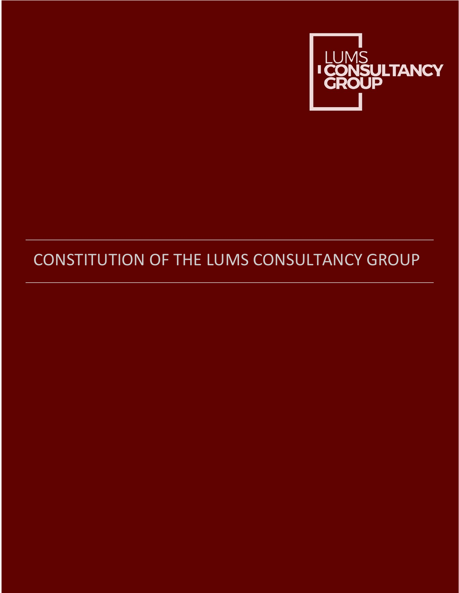

# CONSTITUTION OF THE LUMS CONSULTANCY GROUP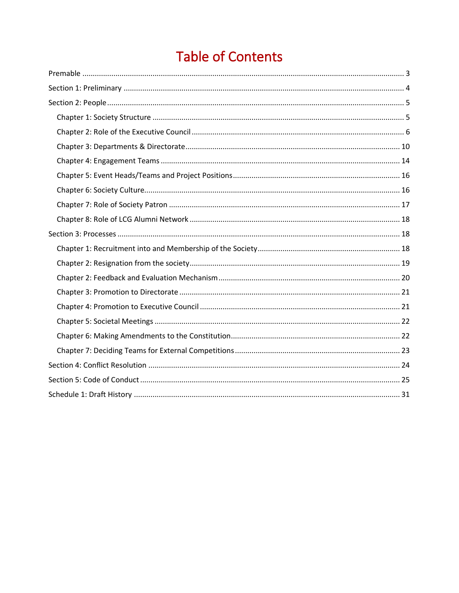## **Table of Contents**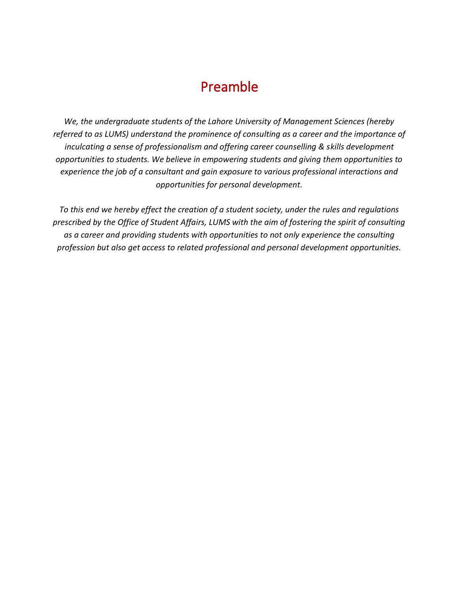### Preamble

<span id="page-2-0"></span>*We, the undergraduate students of the Lahore University of Management Sciences (hereby referred to as LUMS) understand the prominence of consulting as a career and the importance of inculcating a sense of professionalism and offering career counselling & skills development opportunities to students. We believe in empowering students and giving them opportunities to experience the job of a consultant and gain exposure to various professional interactions and opportunities for personal development.* 

*To this end we hereby effect the creation of a student society, under the rules and regulations prescribed by the Office of Student Affairs, LUMS with the aim of fostering the spirit of consulting as a career and providing students with opportunities to not only experience the consulting profession but also get access to related professional and personal development opportunities.*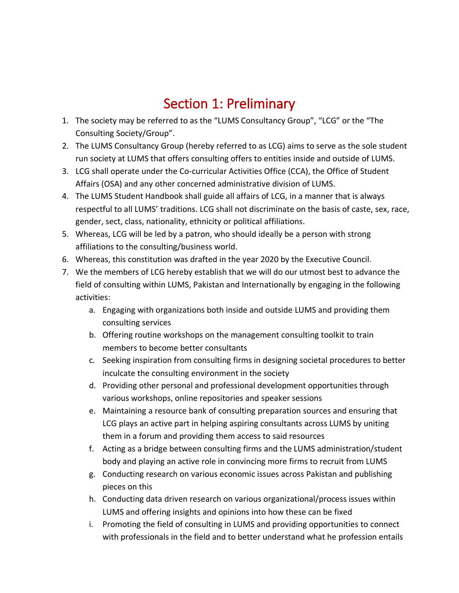## Section 1: Preliminary

- <span id="page-3-0"></span>1. The society may be referred to as the "LUMS Consultancy Group", "LCG" or the "The Consulting Society/Group".
- 2. The LUMS Consultancy Group (hereby referred to as LCG) aims to serve as the sole student run society at LUMS that offers consulting offers to entities inside and outside of LUMS.
- 3. LCG shall operate under the Co-curricular Activities Office (CCA), the Office of Student Affairs (OSA) and any other concerned administrative division of LUMS.
- 4. The LUMS Student Handbook shall guide all affairs of LCG, in a manner that is always respectful to all LUMS' traditions. LCG shall not discriminate on the basis of caste, sex, race, gender, sect, class, nationality, ethnicity or political affiliations.
- 5. Whereas, LCG will be led by a patron, who should ideally be a person with strong affiliations to the consulting/business world.
- 6. Whereas, this constitution was drafted in the year 2020 by the Executive Council.
- 7. We the members of LCG hereby establish that we will do our utmost best to advance the field of consulting within LUMS, Pakistan and Internationally by engaging in the following activities:
	- a. Engaging with organizations both inside and outside LUMS and providing them consulting services
	- b. Offering routine workshops on the management consulting toolkit to train members to become better consultants
	- c. Seeking inspiration from consulting firms in designing societal procedures to better inculcate the consulting environment in the society
	- d. Providing other personal and professional development opportunities through various workshops, online repositories and speaker sessions
	- e. Maintaining a resource bank of consulting preparation sources and ensuring that LCG plays an active part in helping aspiring consultants across LUMS by uniting them in a forum and providing them access to said resources
	- f. Acting as a bridge between consulting firms and the LUMS administration/student body and playing an active role in convincing more firms to recruit from LUMS
	- g. Conducting research on various economic issues across Pakistan and publishing pieces on this
	- h. Conducting data driven research on various organizational/process issues within LUMS and offering insights and opinions into how these can be fixed
	- i. Promoting the field of consulting in LUMS and providing opportunities to connect with professionals in the field and to better understand what he profession entails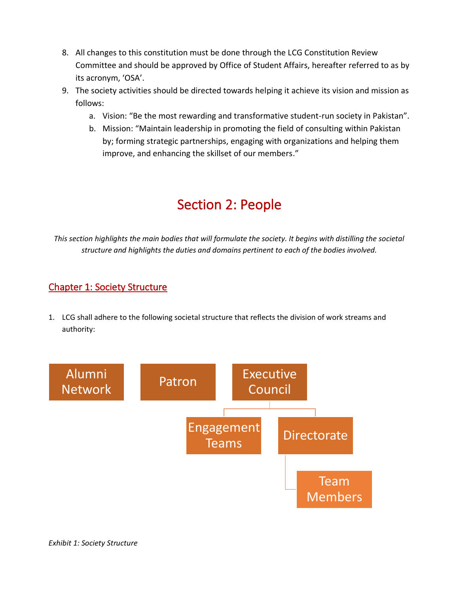- 8. All changes to this constitution must be done through the LCG Constitution Review Committee and should be approved by Office of Student Affairs, hereafter referred to as by its acronym, 'OSA'.
- 9. The society activities should be directed towards helping it achieve its vision and mission as follows:
	- a. Vision: "Be the most rewarding and transformative student-run society in Pakistan".
	- b. Mission: "Maintain leadership in promoting the field of consulting within Pakistan by; forming strategic partnerships, engaging with organizations and helping them improve, and enhancing the skillset of our members."

## Section 2: People

<span id="page-4-0"></span>*This section highlights the main bodies that will formulate the society. It begins with distilling the societal structure and highlights the duties and domains pertinent to each of the bodies involved.* 

#### <span id="page-4-1"></span>Chapter 1: Society Structure

1. LCG shall adhere to the following societal structure that reflects the division of work streams and authority:

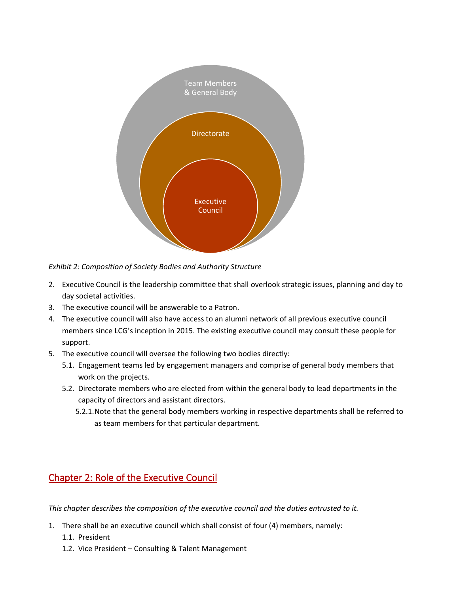

*Exhibit 2: Composition of Society Bodies and Authority Structure* 

- 2. Executive Council is the leadership committee that shall overlook strategic issues, planning and day to day societal activities.
- 3. The executive council will be answerable to a Patron.
- 4. The executive council will also have access to an alumni network of all previous executive council members since LCG's inception in 2015. The existing executive council may consult these people for support.
- 5. The executive council will oversee the following two bodies directly:
	- 5.1. Engagement teams led by engagement managers and comprise of general body members that work on the projects.
	- 5.2. Directorate members who are elected from within the general body to lead departments in the capacity of directors and assistant directors.
		- 5.2.1.Note that the general body members working in respective departments shall be referred to as team members for that particular department.

#### <span id="page-5-0"></span>Chapter 2: Role of the Executive Council

*This chapter describes the composition of the executive council and the duties entrusted to it.* 

- 1. There shall be an executive council which shall consist of four (4) members, namely:
	- 1.1. President
	- 1.2. Vice President Consulting & Talent Management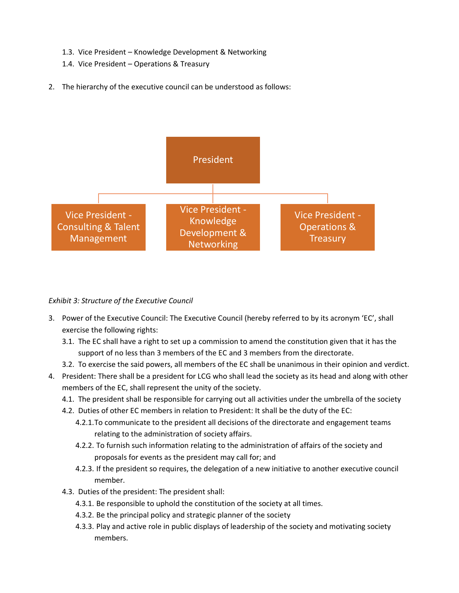- 1.3. Vice President Knowledge Development & Networking
- 1.4. Vice President Operations & Treasury
- 2. The hierarchy of the executive council can be understood as follows:



#### *Exhibit 3: Structure of the Executive Council*

- 3. Power of the Executive Council: The Executive Council (hereby referred to by its acronym 'EC', shall exercise the following rights:
	- 3.1. The EC shall have a right to set up a commission to amend the constitution given that it has the support of no less than 3 members of the EC and 3 members from the directorate.
	- 3.2. To exercise the said powers, all members of the EC shall be unanimous in their opinion and verdict.
- 4. President: There shall be a president for LCG who shall lead the society as its head and along with other members of the EC, shall represent the unity of the society.
	- 4.1. The president shall be responsible for carrying out all activities under the umbrella of the society
	- 4.2. Duties of other EC members in relation to President: It shall be the duty of the EC:
		- 4.2.1.To communicate to the president all decisions of the directorate and engagement teams relating to the administration of society affairs.
		- 4.2.2. To furnish such information relating to the administration of affairs of the society and proposals for events as the president may call for; and
		- 4.2.3. If the president so requires, the delegation of a new initiative to another executive council member.
	- 4.3. Duties of the president: The president shall:
		- 4.3.1. Be responsible to uphold the constitution of the society at all times.
		- 4.3.2. Be the principal policy and strategic planner of the society
		- 4.3.3. Play and active role in public displays of leadership of the society and motivating society members.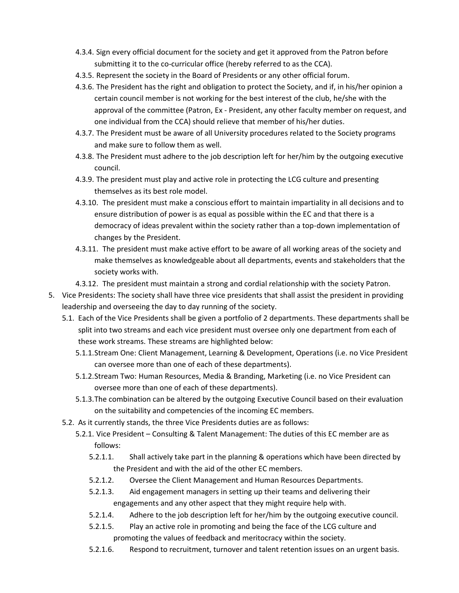- 4.3.4. Sign every official document for the society and get it approved from the Patron before submitting it to the co-curricular office (hereby referred to as the CCA).
- 4.3.5. Represent the society in the Board of Presidents or any other official forum.
- 4.3.6. The President has the right and obligation to protect the Society, and if, in his/her opinion a certain council member is not working for the best interest of the club, he/she with the approval of the committee (Patron, Ex - President, any other faculty member on request, and one individual from the CCA) should relieve that member of his/her duties.
- 4.3.7. The President must be aware of all University procedures related to the Society programs and make sure to follow them as well.
- 4.3.8. The President must adhere to the job description left for her/him by the outgoing executive council.
- 4.3.9. The president must play and active role in protecting the LCG culture and presenting themselves as its best role model.
- 4.3.10. The president must make a conscious effort to maintain impartiality in all decisions and to ensure distribution of power is as equal as possible within the EC and that there is a democracy of ideas prevalent within the society rather than a top-down implementation of changes by the President.
- 4.3.11. The president must make active effort to be aware of all working areas of the society and make themselves as knowledgeable about all departments, events and stakeholders that the society works with.
- 4.3.12. The president must maintain a strong and cordial relationship with the society Patron.
- 5. Vice Presidents: The society shall have three vice presidents that shall assist the president in providing leadership and overseeing the day to day running of the society.
	- 5.1. Each of the Vice Presidents shall be given a portfolio of 2 departments. These departments shall be split into two streams and each vice president must oversee only one department from each of these work streams. These streams are highlighted below:
		- 5.1.1.Stream One: Client Management, Learning & Development, Operations (i.e. no Vice President can oversee more than one of each of these departments).
		- 5.1.2.Stream Two: Human Resources, Media & Branding, Marketing (i.e. no Vice President can oversee more than one of each of these departments).
		- 5.1.3.The combination can be altered by the outgoing Executive Council based on their evaluation on the suitability and competencies of the incoming EC members.
	- 5.2. As it currently stands, the three Vice Presidents duties are as follows:
		- 5.2.1. Vice President Consulting & Talent Management: The duties of this EC member are as follows:
			- 5.2.1.1. Shall actively take part in the planning & operations which have been directed by the President and with the aid of the other EC members.
			- 5.2.1.2. Oversee the Client Management and Human Resources Departments.
			- 5.2.1.3. Aid engagement managers in setting up their teams and delivering their engagements and any other aspect that they might require help with.
			- 5.2.1.4. Adhere to the job description left for her/him by the outgoing executive council.
			- 5.2.1.5. Play an active role in promoting and being the face of the LCG culture and promoting the values of feedback and meritocracy within the society.
			- 5.2.1.6. Respond to recruitment, turnover and talent retention issues on an urgent basis.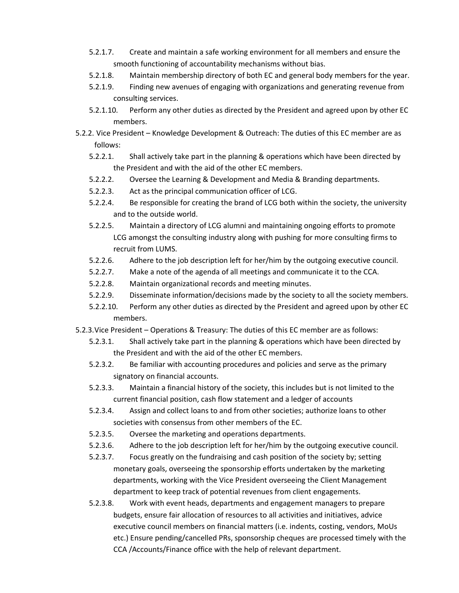- 5.2.1.7. Create and maintain a safe working environment for all members and ensure the smooth functioning of accountability mechanisms without bias.
- 5.2.1.8. Maintain membership directory of both EC and general body members for the year.
- 5.2.1.9. Finding new avenues of engaging with organizations and generating revenue from consulting services.
- 5.2.1.10. Perform any other duties as directed by the President and agreed upon by other EC members.
- 5.2.2. Vice President Knowledge Development & Outreach: The duties of this EC member are as follows:
	- 5.2.2.1. Shall actively take part in the planning & operations which have been directed by the President and with the aid of the other EC members.
	- 5.2.2.2. Oversee the Learning & Development and Media & Branding departments.
	- 5.2.2.3. Act as the principal communication officer of LCG.
	- 5.2.2.4. Be responsible for creating the brand of LCG both within the society, the university and to the outside world.
	- 5.2.2.5. Maintain a directory of LCG alumni and maintaining ongoing efforts to promote LCG amongst the consulting industry along with pushing for more consulting firms to recruit from LUMS.
	- 5.2.2.6. Adhere to the job description left for her/him by the outgoing executive council.
	- 5.2.2.7. Make a note of the agenda of all meetings and communicate it to the CCA.
	- 5.2.2.8. Maintain organizational records and meeting minutes.
	- 5.2.2.9. Disseminate information/decisions made by the society to all the society members.
	- 5.2.2.10. Perform any other duties as directed by the President and agreed upon by other EC members.
- 5.2.3.Vice President Operations & Treasury: The duties of this EC member are as follows:
	- 5.2.3.1. Shall actively take part in the planning & operations which have been directed by the President and with the aid of the other EC members.
	- 5.2.3.2. Be familiar with accounting procedures and policies and serve as the primary signatory on financial accounts.
	- 5.2.3.3. Maintain a financial history of the society, this includes but is not limited to the current financial position, cash flow statement and a ledger of accounts
	- 5.2.3.4. Assign and collect loans to and from other societies; authorize loans to other societies with consensus from other members of the EC.
	- 5.2.3.5. Oversee the marketing and operations departments.
	- 5.2.3.6. Adhere to the job description left for her/him by the outgoing executive council.
	- 5.2.3.7. Focus greatly on the fundraising and cash position of the society by; setting monetary goals, overseeing the sponsorship efforts undertaken by the marketing departments, working with the Vice President overseeing the Client Management department to keep track of potential revenues from client engagements.
	- 5.2.3.8. Work with event heads, departments and engagement managers to prepare budgets, ensure fair allocation of resources to all activities and initiatives, advice executive council members on financial matters (i.e. indents, costing, vendors, MoUs etc.) Ensure pending/cancelled PRs, sponsorship cheques are processed timely with the CCA /Accounts/Finance office with the help of relevant department.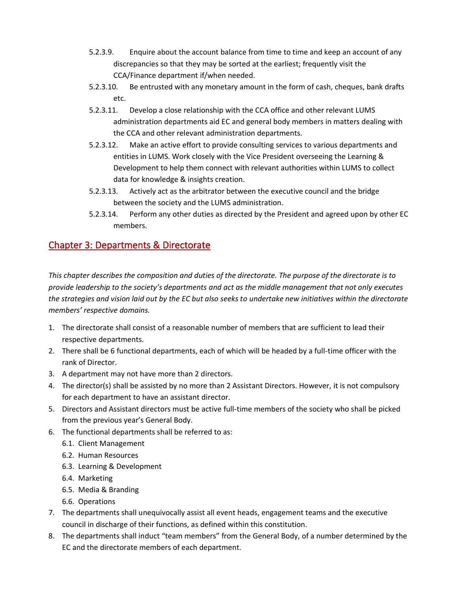- 5.2.3.9. Enquire about the account balance from time to time and keep an account of any discrepancies so that they may be sorted at the earliest; frequently visit the CCA/Finance department if/when needed.
- 5.2.3.10. Be entrusted with any monetary amount in the form of cash, cheques, bank drafts etc.
- 5.2.3.11. Develop a close relationship with the CCA office and other relevant LUMS administration departments aid EC and general body members in matters dealing with the CCA and other relevant administration departments.
- 5.2.3.12. Make an active effort to provide consulting services to various departments and entities in LUMS. Work closely with the Vice President overseeing the Learning & Development to help them connect with relevant authorities within LUMS to collect data for knowledge & insights creation.
- 5.2.3.13. Actively act as the arbitrator between the executive council and the bridge between the society and the LUMS administration.
- 5.2.3.14. Perform any other duties as directed by the President and agreed upon by other EC members.

#### <span id="page-9-0"></span>Chapter 3: Departments & Directorate

*This chapter describes the composition and duties of the directorate. The purpose of the directorate is to provide leadership to the society's departments and act as the middle management that not only executes the strategies and vision laid out by the EC but also seeks to undertake new initiatives within the directorate members' respective domains.* 

- 1. The directorate shall consist of a reasonable number of members that are sufficient to lead their respective departments.
- 2. There shall be 6 functional departments, each of which will be headed by a full-time officer with the rank of Director.
- 3. A department may not have more than 2 directors.
- 4. The director(s) shall be assisted by no more than 2 Assistant Directors. However, it is not compulsory for each department to have an assistant director.
- 5. Directors and Assistant directors must be active full-time members of the society who shall be picked from the previous year's General Body.
- 6. The functional departments shall be referred to as:
	- 6.1. Client Management
	- 6.2. Human Resources
	- 6.3. Learning & Development
	- 6.4. Marketing
	- 6.5. Media & Branding
	- 6.6. Operations
- 7. The departments shall unequivocally assist all event heads, engagement teams and the executive council in discharge of their functions, as defined within this constitution.
- 8. The departments shall induct "team members" from the General Body, of a number determined by the EC and the directorate members of each department.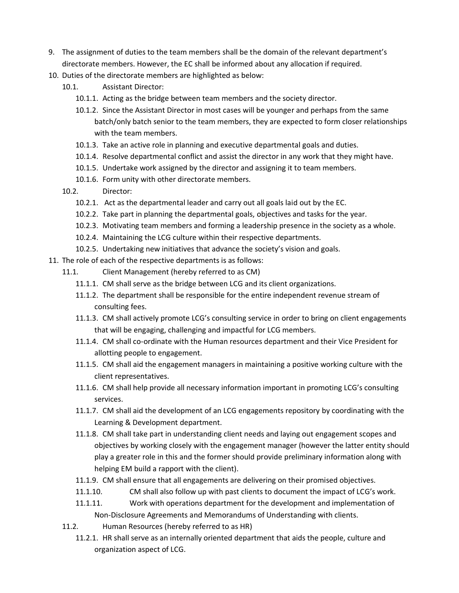- 9. The assignment of duties to the team members shall be the domain of the relevant department's directorate members. However, the EC shall be informed about any allocation if required.
- 10. Duties of the directorate members are highlighted as below:
	- 10.1. Assistant Director:
		- 10.1.1. Acting as the bridge between team members and the society director.
		- 10.1.2. Since the Assistant Director in most cases will be younger and perhaps from the same batch/only batch senior to the team members, they are expected to form closer relationships with the team members.
		- 10.1.3. Take an active role in planning and executive departmental goals and duties.
		- 10.1.4. Resolve departmental conflict and assist the director in any work that they might have.
		- 10.1.5. Undertake work assigned by the director and assigning it to team members.
		- 10.1.6. Form unity with other directorate members.
	- 10.2. Director:
		- 10.2.1. Act as the departmental leader and carry out all goals laid out by the EC.
		- 10.2.2. Take part in planning the departmental goals, objectives and tasks for the year.
		- 10.2.3. Motivating team members and forming a leadership presence in the society as a whole.
		- 10.2.4. Maintaining the LCG culture within their respective departments.
		- 10.2.5. Undertaking new initiatives that advance the society's vision and goals.
- 11. The role of each of the respective departments is as follows:
	- 11.1. Client Management (hereby referred to as CM)
		- 11.1.1. CM shall serve as the bridge between LCG and its client organizations.
		- 11.1.2. The department shall be responsible for the entire independent revenue stream of consulting fees.
		- 11.1.3. CM shall actively promote LCG's consulting service in order to bring on client engagements that will be engaging, challenging and impactful for LCG members.
		- 11.1.4. CM shall co-ordinate with the Human resources department and their Vice President for allotting people to engagement.
		- 11.1.5. CM shall aid the engagement managers in maintaining a positive working culture with the client representatives.
		- 11.1.6. CM shall help provide all necessary information important in promoting LCG's consulting services.
		- 11.1.7. CM shall aid the development of an LCG engagements repository by coordinating with the Learning & Development department.
		- 11.1.8. CM shall take part in understanding client needs and laying out engagement scopes and objectives by working closely with the engagement manager (however the latter entity should play a greater role in this and the former should provide preliminary information along with helping EM build a rapport with the client).
		- 11.1.9. CM shall ensure that all engagements are delivering on their promised objectives.
		- 11.1.10. CM shall also follow up with past clients to document the impact of LCG's work.
		- 11.1.11. Work with operations department for the development and implementation of Non-Disclosure Agreements and Memorandums of Understanding with clients.
	- 11.2. Human Resources (hereby referred to as HR)
		- 11.2.1. HR shall serve as an internally oriented department that aids the people, culture and organization aspect of LCG.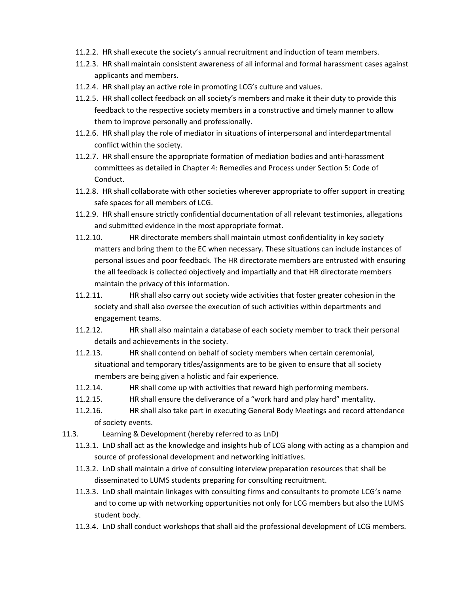- 11.2.2. HR shall execute the society's annual recruitment and induction of team members.
- 11.2.3. HR shall maintain consistent awareness of all informal and formal harassment cases against applicants and members.
- 11.2.4. HR shall play an active role in promoting LCG's culture and values.
- 11.2.5. HR shall collect feedback on all society's members and make it their duty to provide this feedback to the respective society members in a constructive and timely manner to allow them to improve personally and professionally.
- 11.2.6. HR shall play the role of mediator in situations of interpersonal and interdepartmental conflict within the society.
- 11.2.7. HR shall ensure the appropriate formation of mediation bodies and anti-harassment committees as detailed in Chapter 4: Remedies and Process under Section 5: Code of Conduct.
- 11.2.8. HR shall collaborate with other societies wherever appropriate to offer support in creating safe spaces for all members of LCG.
- 11.2.9. HR shall ensure strictly confidential documentation of all relevant testimonies, allegations and submitted evidence in the most appropriate format.
- 11.2.10. HR directorate members shall maintain utmost confidentiality in key society matters and bring them to the EC when necessary. These situations can include instances of personal issues and poor feedback. The HR directorate members are entrusted with ensuring the all feedback is collected objectively and impartially and that HR directorate members maintain the privacy of this information.
- 11.2.11. HR shall also carry out society wide activities that foster greater cohesion in the society and shall also oversee the execution of such activities within departments and engagement teams.
- 11.2.12. HR shall also maintain a database of each society member to track their personal details and achievements in the society.
- 11.2.13. HR shall contend on behalf of society members when certain ceremonial, situational and temporary titles/assignments are to be given to ensure that all society members are being given a holistic and fair experience.
- 11.2.14. HR shall come up with activities that reward high performing members.
- 11.2.15. HR shall ensure the deliverance of a "work hard and play hard" mentality.
- 11.2.16. HR shall also take part in executing General Body Meetings and record attendance of society events.
- 11.3. Learning & Development (hereby referred to as LnD)
	- 11.3.1. LnD shall act as the knowledge and insights hub of LCG along with acting as a champion and source of professional development and networking initiatives.
	- 11.3.2. LnD shall maintain a drive of consulting interview preparation resources that shall be disseminated to LUMS students preparing for consulting recruitment.
	- 11.3.3. LnD shall maintain linkages with consulting firms and consultants to promote LCG's name and to come up with networking opportunities not only for LCG members but also the LUMS student body.
	- 11.3.4. LnD shall conduct workshops that shall aid the professional development of LCG members.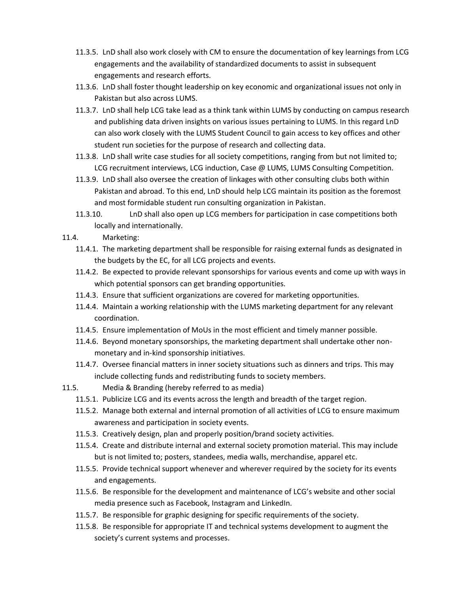- 11.3.5. LnD shall also work closely with CM to ensure the documentation of key learnings from LCG engagements and the availability of standardized documents to assist in subsequent engagements and research efforts.
- 11.3.6. LnD shall foster thought leadership on key economic and organizational issues not only in Pakistan but also across LUMS.
- 11.3.7. LnD shall help LCG take lead as a think tank within LUMS by conducting on campus research and publishing data driven insights on various issues pertaining to LUMS. In this regard LnD can also work closely with the LUMS Student Council to gain access to key offices and other student run societies for the purpose of research and collecting data.
- 11.3.8. LnD shall write case studies for all society competitions, ranging from but not limited to; LCG recruitment interviews, LCG induction, Case @ LUMS, LUMS Consulting Competition.
- 11.3.9. LnD shall also oversee the creation of linkages with other consulting clubs both within Pakistan and abroad. To this end, LnD should help LCG maintain its position as the foremost and most formidable student run consulting organization in Pakistan.
- 11.3.10. LnD shall also open up LCG members for participation in case competitions both locally and internationally.
- 11.4. Marketing:
	- 11.4.1. The marketing department shall be responsible for raising external funds as designated in the budgets by the EC, for all LCG projects and events.
	- 11.4.2. Be expected to provide relevant sponsorships for various events and come up with ways in which potential sponsors can get branding opportunities.
	- 11.4.3. Ensure that sufficient organizations are covered for marketing opportunities.
	- 11.4.4. Maintain a working relationship with the LUMS marketing department for any relevant coordination.
	- 11.4.5. Ensure implementation of MoUs in the most efficient and timely manner possible.
	- 11.4.6. Beyond monetary sponsorships, the marketing department shall undertake other nonmonetary and in-kind sponsorship initiatives.
	- 11.4.7. Oversee financial matters in inner society situations such as dinners and trips. This may include collecting funds and redistributing funds to society members.
- 11.5. Media & Branding (hereby referred to as media)
	- 11.5.1. Publicize LCG and its events across the length and breadth of the target region.
	- 11.5.2. Manage both external and internal promotion of all activities of LCG to ensure maximum awareness and participation in society events.
	- 11.5.3. Creatively design, plan and properly position/brand society activities.
	- 11.5.4. Create and distribute internal and external society promotion material. This may include but is not limited to; posters, standees, media walls, merchandise, apparel etc.
	- 11.5.5. Provide technical support whenever and wherever required by the society for its events and engagements.
	- 11.5.6. Be responsible for the development and maintenance of LCG's website and other social media presence such as Facebook, Instagram and LinkedIn.
	- 11.5.7. Be responsible for graphic designing for specific requirements of the society.
	- 11.5.8. Be responsible for appropriate IT and technical systems development to augment the society's current systems and processes.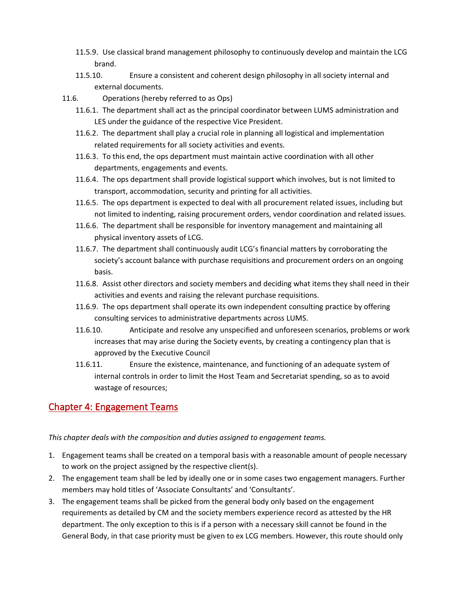- 11.5.9. Use classical brand management philosophy to continuously develop and maintain the LCG brand.
- 11.5.10. Ensure a consistent and coherent design philosophy in all society internal and external documents.
- 11.6. Operations (hereby referred to as Ops)
	- 11.6.1. The department shall act as the principal coordinator between LUMS administration and LES under the guidance of the respective Vice President.
	- 11.6.2. The department shall play a crucial role in planning all logistical and implementation related requirements for all society activities and events.
	- 11.6.3. To this end, the ops department must maintain active coordination with all other departments, engagements and events.
	- 11.6.4. The ops department shall provide logistical support which involves, but is not limited to transport, accommodation, security and printing for all activities.
	- 11.6.5. The ops department is expected to deal with all procurement related issues, including but not limited to indenting, raising procurement orders, vendor coordination and related issues.
	- 11.6.6. The department shall be responsible for inventory management and maintaining all physical inventory assets of LCG.
	- 11.6.7. The department shall continuously audit LCG's financial matters by corroborating the society's account balance with purchase requisitions and procurement orders on an ongoing basis.
	- 11.6.8. Assist other directors and society members and deciding what items they shall need in their activities and events and raising the relevant purchase requisitions.
	- 11.6.9. The ops department shall operate its own independent consulting practice by offering consulting services to administrative departments across LUMS.
	- 11.6.10. Anticipate and resolve any unspecified and unforeseen scenarios, problems or work increases that may arise during the Society events, by creating a contingency plan that is approved by the Executive Council
	- 11.6.11. Ensure the existence, maintenance, and functioning of an adequate system of internal controls in order to limit the Host Team and Secretariat spending, so as to avoid wastage of resources;

#### <span id="page-13-0"></span>Chapter 4: Engagement Teams

*This chapter deals with the composition and duties assigned to engagement teams.*

- 1. Engagement teams shall be created on a temporal basis with a reasonable amount of people necessary to work on the project assigned by the respective client(s).
- 2. The engagement team shall be led by ideally one or in some cases two engagement managers. Further members may hold titles of 'Associate Consultants' and 'Consultants'.
- 3. The engagement teams shall be picked from the general body only based on the engagement requirements as detailed by CM and the society members experience record as attested by the HR department. The only exception to this is if a person with a necessary skill cannot be found in the General Body, in that case priority must be given to ex LCG members. However, this route should only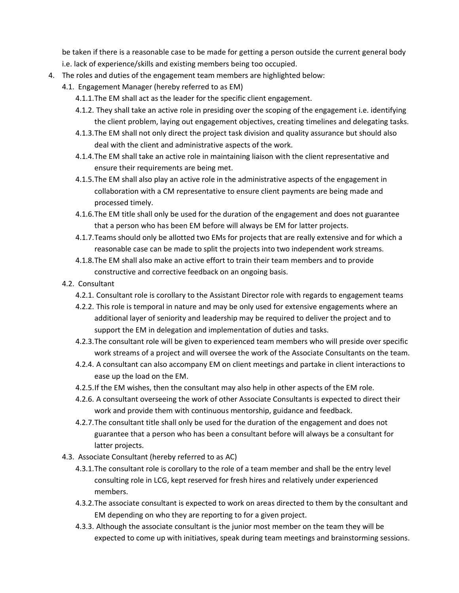be taken if there is a reasonable case to be made for getting a person outside the current general body i.e. lack of experience/skills and existing members being too occupied.

- 4. The roles and duties of the engagement team members are highlighted below:
	- 4.1. Engagement Manager (hereby referred to as EM)
		- 4.1.1.The EM shall act as the leader for the specific client engagement.
		- 4.1.2. They shall take an active role in presiding over the scoping of the engagement i.e. identifying the client problem, laying out engagement objectives, creating timelines and delegating tasks.
		- 4.1.3.The EM shall not only direct the project task division and quality assurance but should also deal with the client and administrative aspects of the work.
		- 4.1.4.The EM shall take an active role in maintaining liaison with the client representative and ensure their requirements are being met.
		- 4.1.5.The EM shall also play an active role in the administrative aspects of the engagement in collaboration with a CM representative to ensure client payments are being made and processed timely.
		- 4.1.6.The EM title shall only be used for the duration of the engagement and does not guarantee that a person who has been EM before will always be EM for latter projects.
		- 4.1.7.Teams should only be allotted two EMs for projects that are really extensive and for which a reasonable case can be made to split the projects into two independent work streams.
		- 4.1.8.The EM shall also make an active effort to train their team members and to provide constructive and corrective feedback on an ongoing basis.
	- 4.2. Consultant
		- 4.2.1. Consultant role is corollary to the Assistant Director role with regards to engagement teams
		- 4.2.2. This role is temporal in nature and may be only used for extensive engagements where an additional layer of seniority and leadership may be required to deliver the project and to support the EM in delegation and implementation of duties and tasks.
		- 4.2.3.The consultant role will be given to experienced team members who will preside over specific work streams of a project and will oversee the work of the Associate Consultants on the team.
		- 4.2.4. A consultant can also accompany EM on client meetings and partake in client interactions to ease up the load on the EM.
		- 4.2.5.If the EM wishes, then the consultant may also help in other aspects of the EM role.
		- 4.2.6. A consultant overseeing the work of other Associate Consultants is expected to direct their work and provide them with continuous mentorship, guidance and feedback.
		- 4.2.7.The consultant title shall only be used for the duration of the engagement and does not guarantee that a person who has been a consultant before will always be a consultant for latter projects.
	- 4.3. Associate Consultant (hereby referred to as AC)
		- 4.3.1.The consultant role is corollary to the role of a team member and shall be the entry level consulting role in LCG, kept reserved for fresh hires and relatively under experienced members.
		- 4.3.2.The associate consultant is expected to work on areas directed to them by the consultant and EM depending on who they are reporting to for a given project.
		- 4.3.3. Although the associate consultant is the junior most member on the team they will be expected to come up with initiatives, speak during team meetings and brainstorming sessions.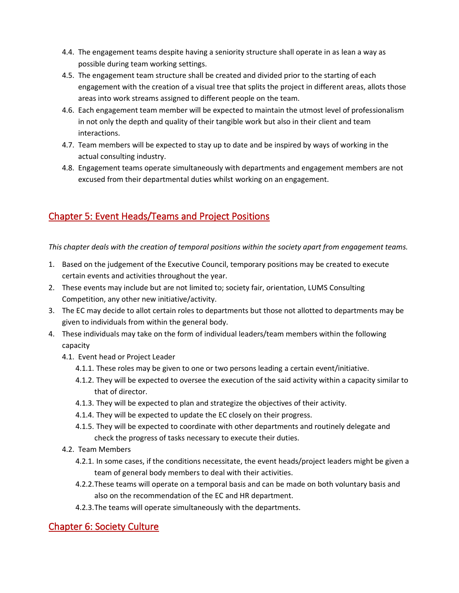- 4.4. The engagement teams despite having a seniority structure shall operate in as lean a way as possible during team working settings.
- 4.5. The engagement team structure shall be created and divided prior to the starting of each engagement with the creation of a visual tree that splits the project in different areas, allots those areas into work streams assigned to different people on the team.
- 4.6. Each engagement team member will be expected to maintain the utmost level of professionalism in not only the depth and quality of their tangible work but also in their client and team interactions.
- 4.7. Team members will be expected to stay up to date and be inspired by ways of working in the actual consulting industry.
- 4.8. Engagement teams operate simultaneously with departments and engagement members are not excused from their departmental duties whilst working on an engagement.

### <span id="page-15-0"></span>Chapter 5: Event Heads/Teams and Project Positions

*This chapter deals with the creation of temporal positions within the society apart from engagement teams.*

- 1. Based on the judgement of the Executive Council, temporary positions may be created to execute certain events and activities throughout the year.
- 2. These events may include but are not limited to; society fair, orientation, LUMS Consulting Competition, any other new initiative/activity.
- 3. The EC may decide to allot certain roles to departments but those not allotted to departments may be given to individuals from within the general body.
- 4. These individuals may take on the form of individual leaders/team members within the following capacity
	- 4.1. Event head or Project Leader
		- 4.1.1. These roles may be given to one or two persons leading a certain event/initiative.
		- 4.1.2. They will be expected to oversee the execution of the said activity within a capacity similar to that of director.
		- 4.1.3. They will be expected to plan and strategize the objectives of their activity.
		- 4.1.4. They will be expected to update the EC closely on their progress.
		- 4.1.5. They will be expected to coordinate with other departments and routinely delegate and check the progress of tasks necessary to execute their duties.
	- 4.2. Team Members
		- 4.2.1. In some cases, if the conditions necessitate, the event heads/project leaders might be given a team of general body members to deal with their activities.
		- 4.2.2.These teams will operate on a temporal basis and can be made on both voluntary basis and also on the recommendation of the EC and HR department.
		- 4.2.3.The teams will operate simultaneously with the departments.

#### <span id="page-15-1"></span>Chapter 6: Society Culture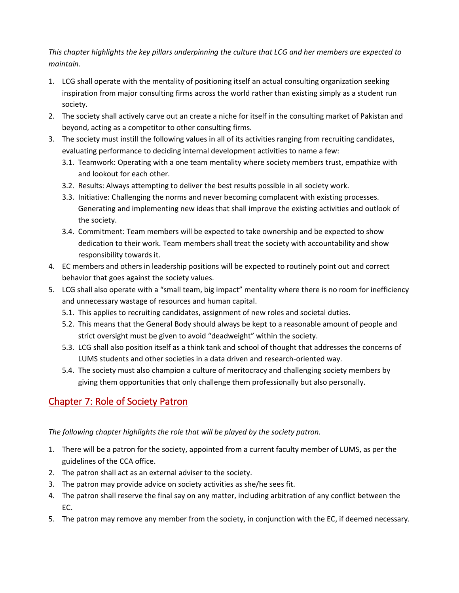*This chapter highlights the key pillars underpinning the culture that LCG and her members are expected to maintain.* 

- 1. LCG shall operate with the mentality of positioning itself an actual consulting organization seeking inspiration from major consulting firms across the world rather than existing simply as a student run society.
- 2. The society shall actively carve out an create a niche for itself in the consulting market of Pakistan and beyond, acting as a competitor to other consulting firms.
- 3. The society must instill the following values in all of its activities ranging from recruiting candidates, evaluating performance to deciding internal development activities to name a few:
	- 3.1. Teamwork: Operating with a one team mentality where society members trust, empathize with and lookout for each other.
	- 3.2. Results: Always attempting to deliver the best results possible in all society work.
	- 3.3. Initiative: Challenging the norms and never becoming complacent with existing processes. Generating and implementing new ideas that shall improve the existing activities and outlook of the society.
	- 3.4. Commitment: Team members will be expected to take ownership and be expected to show dedication to their work. Team members shall treat the society with accountability and show responsibility towards it.
- 4. EC members and others in leadership positions will be expected to routinely point out and correct behavior that goes against the society values.
- 5. LCG shall also operate with a "small team, big impact" mentality where there is no room for inefficiency and unnecessary wastage of resources and human capital.
	- 5.1. This applies to recruiting candidates, assignment of new roles and societal duties.
	- 5.2. This means that the General Body should always be kept to a reasonable amount of people and strict oversight must be given to avoid "deadweight" within the society.
	- 5.3. LCG shall also position itself as a think tank and school of thought that addresses the concerns of LUMS students and other societies in a data driven and research-oriented way.
	- 5.4. The society must also champion a culture of meritocracy and challenging society members by giving them opportunities that only challenge them professionally but also personally.

### <span id="page-16-0"></span>Chapter 7: Role of Society Patron

*The following chapter highlights the role that will be played by the society patron.* 

- 1. There will be a patron for the society, appointed from a current faculty member of LUMS, as per the guidelines of the CCA office.
- 2. The patron shall act as an external adviser to the society.
- 3. The patron may provide advice on society activities as she/he sees fit.
- 4. The patron shall reserve the final say on any matter, including arbitration of any conflict between the EC.
- 5. The patron may remove any member from the society, in conjunction with the EC, if deemed necessary.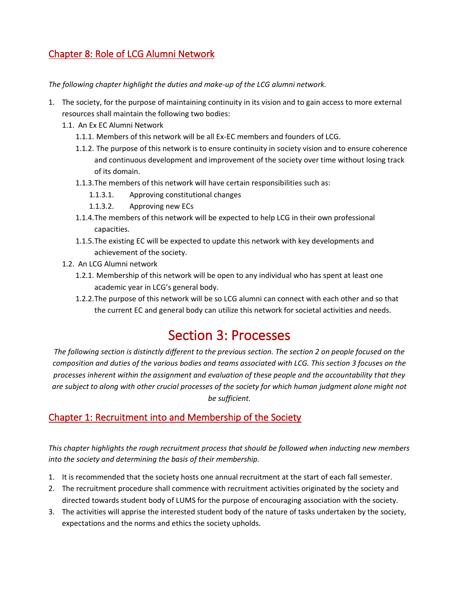#### <span id="page-17-0"></span>Chapter 8: Role of LCG Alumni Network

*The following chapter highlight the duties and make-up of the LCG alumni network.*

- 1. The society, for the purpose of maintaining continuity in its vision and to gain access to more external resources shall maintain the following two bodies:
	- 1.1. An Ex EC Alumni Network
		- 1.1.1. Members of this network will be all Ex-EC members and founders of LCG.
		- 1.1.2. The purpose of this network is to ensure continuity in society vision and to ensure coherence and continuous development and improvement of the society over time without losing track of its domain.
		- 1.1.3.The members of this network will have certain responsibilities such as:
			- 1.1.3.1. Approving constitutional changes
			- 1.1.3.2. Approving new ECs
		- 1.1.4.The members of this network will be expected to help LCG in their own professional capacities.
		- 1.1.5.The existing EC will be expected to update this network with key developments and achievement of the society.
	- 1.2. An LCG Alumni network
		- 1.2.1. Membership of this network will be open to any individual who has spent at least one academic year in LCG's general body.
		- 1.2.2.The purpose of this network will be so LCG alumni can connect with each other and so that the current EC and general body can utilize this network for societal activities and needs.

### Section 3: Processes

<span id="page-17-1"></span>*The following section is distinctly different to the previous section. The section 2 on people focused on the composition and duties of the various bodies and teams associated with LCG. This section 3 focuses on the processes inherent within the assignment and evaluation of these people and the accountability that they are subject to along with other crucial processes of the society for which human judgment alone might not be sufficient.* 

#### <span id="page-17-2"></span>Chapter 1: Recruitment into and Membership of the Society

*This chapter highlights the rough recruitment process that should be followed when inducting new members into the society and determining the basis of their membership.* 

- 1. It is recommended that the society hosts one annual recruitment at the start of each fall semester.
- 2. The recruitment procedure shall commence with recruitment activities originated by the society and directed towards student body of LUMS for the purpose of encouraging association with the society.
- 3. The activities will apprise the interested student body of the nature of tasks undertaken by the society, expectations and the norms and ethics the society upholds.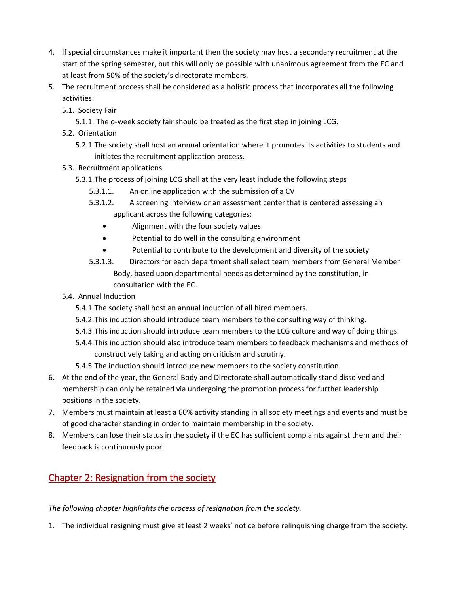- 4. If special circumstances make it important then the society may host a secondary recruitment at the start of the spring semester, but this will only be possible with unanimous agreement from the EC and at least from 50% of the society's directorate members.
- 5. The recruitment process shall be considered as a holistic process that incorporates all the following activities:
	- 5.1. Society Fair
		- 5.1.1. The o-week society fair should be treated as the first step in joining LCG.
	- 5.2. Orientation
		- 5.2.1.The society shall host an annual orientation where it promotes its activities to students and initiates the recruitment application process.
	- 5.3. Recruitment applications
		- 5.3.1.The process of joining LCG shall at the very least include the following steps
			- 5.3.1.1. An online application with the submission of a CV
			- 5.3.1.2. A screening interview or an assessment center that is centered assessing an applicant across the following categories:
				- Alignment with the four society values
				- Potential to do well in the consulting environment
				- Potential to contribute to the development and diversity of the society
			- 5.3.1.3. Directors for each department shall select team members from General Member Body, based upon departmental needs as determined by the constitution, in consultation with the EC.
	- 5.4. Annual Induction
		- 5.4.1.The society shall host an annual induction of all hired members.
		- 5.4.2.This induction should introduce team members to the consulting way of thinking.
		- 5.4.3.This induction should introduce team members to the LCG culture and way of doing things.
		- 5.4.4.This induction should also introduce team members to feedback mechanisms and methods of
			- constructively taking and acting on criticism and scrutiny.
		- 5.4.5.The induction should introduce new members to the society constitution.
- 6. At the end of the year, the General Body and Directorate shall automatically stand dissolved and membership can only be retained via undergoing the promotion process for further leadership positions in the society.
- 7. Members must maintain at least a 60% activity standing in all society meetings and events and must be of good character standing in order to maintain membership in the society.
- 8. Members can lose their status in the society if the EC has sufficient complaints against them and their feedback is continuously poor.

### <span id="page-18-0"></span>Chapter 2: Resignation from the society

*The following chapter highlights the process of resignation from the society.* 

1. The individual resigning must give at least 2 weeks' notice before relinquishing charge from the society.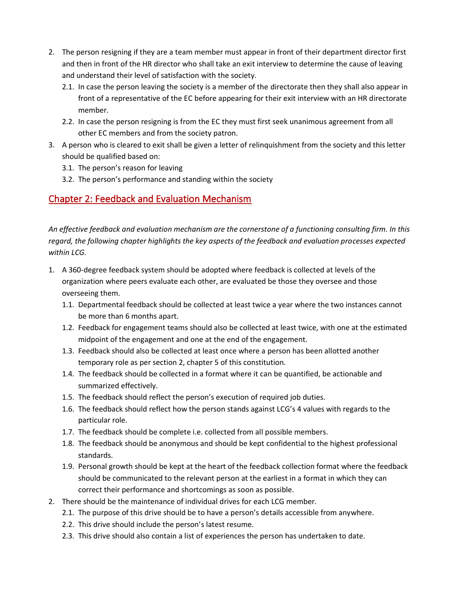- 2. The person resigning if they are a team member must appear in front of their department director first and then in front of the HR director who shall take an exit interview to determine the cause of leaving and understand their level of satisfaction with the society.
	- 2.1. In case the person leaving the society is a member of the directorate then they shall also appear in front of a representative of the EC before appearing for their exit interview with an HR directorate member.
	- 2.2. In case the person resigning is from the EC they must first seek unanimous agreement from all other EC members and from the society patron.
- 3. A person who is cleared to exit shall be given a letter of relinquishment from the society and this letter should be qualified based on:
	- 3.1. The person's reason for leaving
	- 3.2. The person's performance and standing within the society

#### <span id="page-19-0"></span>Chapter 2: Feedback and Evaluation Mechanism

*An effective feedback and evaluation mechanism are the cornerstone of a functioning consulting firm. In this regard, the following chapter highlights the key aspects of the feedback and evaluation processes expected within LCG.* 

- 1. A 360-degree feedback system should be adopted where feedback is collected at levels of the organization where peers evaluate each other, are evaluated be those they oversee and those overseeing them.
	- 1.1. Departmental feedback should be collected at least twice a year where the two instances cannot be more than 6 months apart.
	- 1.2. Feedback for engagement teams should also be collected at least twice, with one at the estimated midpoint of the engagement and one at the end of the engagement.
	- 1.3. Feedback should also be collected at least once where a person has been allotted another temporary role as per section 2, chapter 5 of this constitution.
	- 1.4. The feedback should be collected in a format where it can be quantified, be actionable and summarized effectively.
	- 1.5. The feedback should reflect the person's execution of required job duties.
	- 1.6. The feedback should reflect how the person stands against LCG's 4 values with regards to the particular role.
	- 1.7. The feedback should be complete i.e. collected from all possible members.
	- 1.8. The feedback should be anonymous and should be kept confidential to the highest professional standards.
	- 1.9. Personal growth should be kept at the heart of the feedback collection format where the feedback should be communicated to the relevant person at the earliest in a format in which they can correct their performance and shortcomings as soon as possible.
- 2. There should be the maintenance of individual drives for each LCG member.
	- 2.1. The purpose of this drive should be to have a person's details accessible from anywhere.
	- 2.2. This drive should include the person's latest resume.
	- 2.3. This drive should also contain a list of experiences the person has undertaken to date.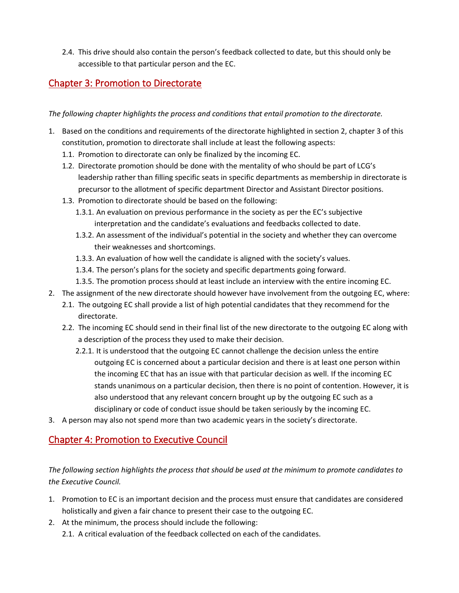2.4. This drive should also contain the person's feedback collected to date, but this should only be accessible to that particular person and the EC.

#### <span id="page-20-0"></span>Chapter 3: Promotion to Directorate

*The following chapter highlights the process and conditions that entail promotion to the directorate.* 

- 1. Based on the conditions and requirements of the directorate highlighted in section 2, chapter 3 of this constitution, promotion to directorate shall include at least the following aspects:
	- 1.1. Promotion to directorate can only be finalized by the incoming EC.
	- 1.2. Directorate promotion should be done with the mentality of who should be part of LCG's leadership rather than filling specific seats in specific departments as membership in directorate is precursor to the allotment of specific department Director and Assistant Director positions.
	- 1.3. Promotion to directorate should be based on the following:
		- 1.3.1. An evaluation on previous performance in the society as per the EC's subjective interpretation and the candidate's evaluations and feedbacks collected to date.
		- 1.3.2. An assessment of the individual's potential in the society and whether they can overcome their weaknesses and shortcomings.
		- 1.3.3. An evaluation of how well the candidate is aligned with the society's values.
		- 1.3.4. The person's plans for the society and specific departments going forward.
		- 1.3.5. The promotion process should at least include an interview with the entire incoming EC.
- 2. The assignment of the new directorate should however have involvement from the outgoing EC, where:
	- 2.1. The outgoing EC shall provide a list of high potential candidates that they recommend for the directorate.
	- 2.2. The incoming EC should send in their final list of the new directorate to the outgoing EC along with a description of the process they used to make their decision.
		- 2.2.1. It is understood that the outgoing EC cannot challenge the decision unless the entire outgoing EC is concerned about a particular decision and there is at least one person within the incoming EC that has an issue with that particular decision as well. If the incoming EC stands unanimous on a particular decision, then there is no point of contention. However, it is also understood that any relevant concern brought up by the outgoing EC such as a disciplinary or code of conduct issue should be taken seriously by the incoming EC.
- 3. A person may also not spend more than two academic years in the society's directorate.

#### <span id="page-20-1"></span>Chapter 4: Promotion to Executive Council

*The following section highlights the process that should be used at the minimum to promote candidates to the Executive Council.* 

- 1. Promotion to EC is an important decision and the process must ensure that candidates are considered holistically and given a fair chance to present their case to the outgoing EC.
- 2. At the minimum, the process should include the following:
	- 2.1. A critical evaluation of the feedback collected on each of the candidates.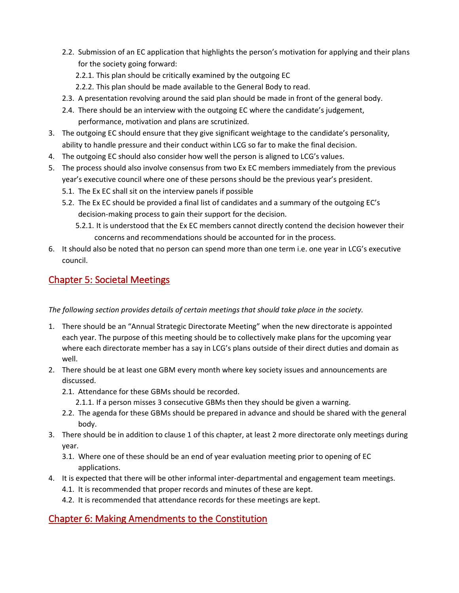- 2.2. Submission of an EC application that highlights the person's motivation for applying and their plans for the society going forward:
	- 2.2.1. This plan should be critically examined by the outgoing EC
	- 2.2.2. This plan should be made available to the General Body to read.
- 2.3. A presentation revolving around the said plan should be made in front of the general body.
- 2.4. There should be an interview with the outgoing EC where the candidate's judgement, performance, motivation and plans are scrutinized.
- 3. The outgoing EC should ensure that they give significant weightage to the candidate's personality, ability to handle pressure and their conduct within LCG so far to make the final decision.
- 4. The outgoing EC should also consider how well the person is aligned to LCG's values.
- 5. The process should also involve consensus from two Ex EC members immediately from the previous year's executive council where one of these persons should be the previous year's president.
	- 5.1. The Ex EC shall sit on the interview panels if possible
	- 5.2. The Ex EC should be provided a final list of candidates and a summary of the outgoing EC's decision-making process to gain their support for the decision.
		- 5.2.1. It is understood that the Ex EC members cannot directly contend the decision however their concerns and recommendations should be accounted for in the process.
- 6. It should also be noted that no person can spend more than one term i.e. one year in LCG's executive council.

#### <span id="page-21-0"></span>Chapter 5: Societal Meetings

*The following section provides details of certain meetings that should take place in the society.*

- 1. There should be an "Annual Strategic Directorate Meeting" when the new directorate is appointed each year. The purpose of this meeting should be to collectively make plans for the upcoming year where each directorate member has a say in LCG's plans outside of their direct duties and domain as well.
- 2. There should be at least one GBM every month where key society issues and announcements are discussed.
	- 2.1. Attendance for these GBMs should be recorded.
		- 2.1.1. If a person misses 3 consecutive GBMs then they should be given a warning.
	- 2.2. The agenda for these GBMs should be prepared in advance and should be shared with the general body.
- 3. There should be in addition to clause 1 of this chapter, at least 2 more directorate only meetings during year.
	- 3.1. Where one of these should be an end of year evaluation meeting prior to opening of EC applications.
- 4. It is expected that there will be other informal inter-departmental and engagement team meetings.
	- 4.1. It is recommended that proper records and minutes of these are kept.
	- 4.2. It is recommended that attendance records for these meetings are kept.

#### <span id="page-21-1"></span>Chapter 6: Making Amendments to the Constitution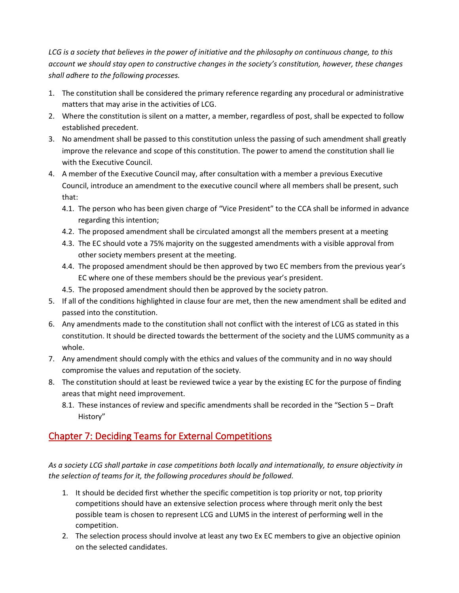*LCG is a society that believes in the power of initiative and the philosophy on continuous change, to this account we should stay open to constructive changes in the society's constitution, however, these changes shall adhere to the following processes.*

- 1. The constitution shall be considered the primary reference regarding any procedural or administrative matters that may arise in the activities of LCG.
- 2. Where the constitution is silent on a matter, a member, regardless of post, shall be expected to follow established precedent.
- 3. No amendment shall be passed to this constitution unless the passing of such amendment shall greatly improve the relevance and scope of this constitution. The power to amend the constitution shall lie with the Executive Council.
- 4. A member of the Executive Council may, after consultation with a member a previous Executive Council, introduce an amendment to the executive council where all members shall be present, such that:
	- 4.1. The person who has been given charge of "Vice President" to the CCA shall be informed in advance regarding this intention;
	- 4.2. The proposed amendment shall be circulated amongst all the members present at a meeting
	- 4.3. The EC should vote a 75% majority on the suggested amendments with a visible approval from other society members present at the meeting.
	- 4.4. The proposed amendment should be then approved by two EC members from the previous year's EC where one of these members should be the previous year's president.
	- 4.5. The proposed amendment should then be approved by the society patron.
- 5. If all of the conditions highlighted in clause four are met, then the new amendment shall be edited and passed into the constitution.
- 6. Any amendments made to the constitution shall not conflict with the interest of LCG as stated in this constitution. It should be directed towards the betterment of the society and the LUMS community as a whole.
- 7. Any amendment should comply with the ethics and values of the community and in no way should compromise the values and reputation of the society.
- 8. The constitution should at least be reviewed twice a year by the existing EC for the purpose of finding areas that might need improvement.
	- 8.1. These instances of review and specific amendments shall be recorded in the "Section 5 Draft History"

### <span id="page-22-0"></span>Chapter 7: Deciding Teams for External Competitions

*As a society LCG shall partake in case competitions both locally and internationally, to ensure objectivity in the selection of teams for it, the following procedures should be followed.*

- 1. It should be decided first whether the specific competition is top priority or not, top priority competitions should have an extensive selection process where through merit only the best possible team is chosen to represent LCG and LUMS in the interest of performing well in the competition.
- 2. The selection process should involve at least any two Ex EC members to give an objective opinion on the selected candidates.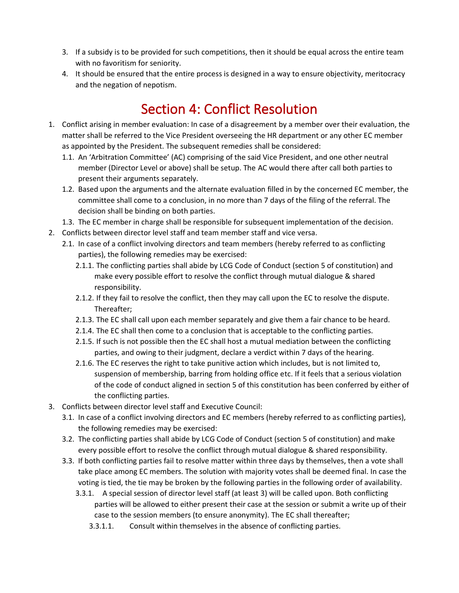- 3. If a subsidy is to be provided for such competitions, then it should be equal across the entire team with no favoritism for seniority.
- 4. It should be ensured that the entire process is designed in a way to ensure objectivity, meritocracy and the negation of nepotism.

## Section 4: Conflict Resolution

- <span id="page-23-0"></span>1. Conflict arising in member evaluation: In case of a disagreement by a member over their evaluation, the matter shall be referred to the Vice President overseeing the HR department or any other EC member as appointed by the President. The subsequent remedies shall be considered:
	- 1.1. An 'Arbitration Committee' (AC) comprising of the said Vice President, and one other neutral member (Director Level or above) shall be setup. The AC would there after call both parties to present their arguments separately.
	- 1.2. Based upon the arguments and the alternate evaluation filled in by the concerned EC member, the committee shall come to a conclusion, in no more than 7 days of the filing of the referral. The decision shall be binding on both parties.
	- 1.3. The EC member in charge shall be responsible for subsequent implementation of the decision.
- 2. Conflicts between director level staff and team member staff and vice versa.
	- 2.1. In case of a conflict involving directors and team members (hereby referred to as conflicting parties), the following remedies may be exercised:
		- 2.1.1. The conflicting parties shall abide by LCG Code of Conduct (section 5 of constitution) and make every possible effort to resolve the conflict through mutual dialogue & shared responsibility.
		- 2.1.2. If they fail to resolve the conflict, then they may call upon the EC to resolve the dispute. Thereafter;
		- 2.1.3. The EC shall call upon each member separately and give them a fair chance to be heard.
		- 2.1.4. The EC shall then come to a conclusion that is acceptable to the conflicting parties.
		- 2.1.5. If such is not possible then the EC shall host a mutual mediation between the conflicting parties, and owing to their judgment, declare a verdict within 7 days of the hearing.
		- 2.1.6. The EC reserves the right to take punitive action which includes, but is not limited to, suspension of membership, barring from holding office etc. If it feels that a serious violation of the code of conduct aligned in section 5 of this constitution has been conferred by either of the conflicting parties.
- 3. Conflicts between director level staff and Executive Council:
	- 3.1. In case of a conflict involving directors and EC members (hereby referred to as conflicting parties), the following remedies may be exercised:
	- 3.2. The conflicting parties shall abide by LCG Code of Conduct (section 5 of constitution) and make every possible effort to resolve the conflict through mutual dialogue & shared responsibility.
	- 3.3. If both conflicting parties fail to resolve matter within three days by themselves, then a vote shall take place among EC members. The solution with majority votes shall be deemed final. In case the voting is tied, the tie may be broken by the following parties in the following order of availability.
		- 3.3.1. A special session of director level staff (at least 3) will be called upon. Both conflicting parties will be allowed to either present their case at the session or submit a write up of their case to the session members (to ensure anonymity). The EC shall thereafter;
			- 3.3.1.1. Consult within themselves in the absence of conflicting parties.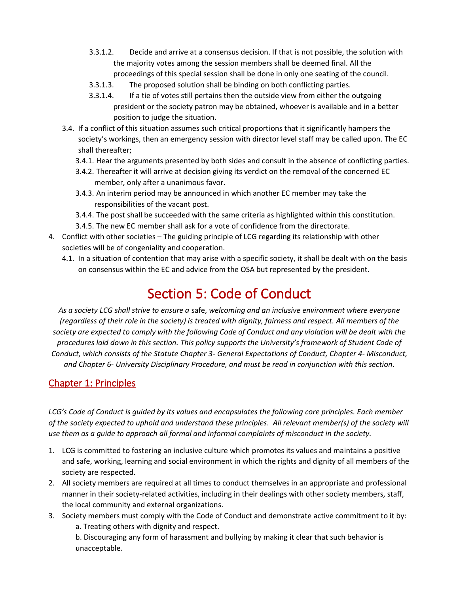- 3.3.1.2. Decide and arrive at a consensus decision. If that is not possible, the solution with the majority votes among the session members shall be deemed final. All the proceedings of this special session shall be done in only one seating of the council.
- 3.3.1.3. The proposed solution shall be binding on both conflicting parties.
- 3.3.1.4. If a tie of votes still pertains then the outside view from either the outgoing president or the society patron may be obtained, whoever is available and in a better position to judge the situation.
- 3.4. If a conflict of this situation assumes such critical proportions that it significantly hampers the society's workings, then an emergency session with director level staff may be called upon. The EC shall thereafter;
	- 3.4.1. Hear the arguments presented by both sides and consult in the absence of conflicting parties.
	- 3.4.2. Thereafter it will arrive at decision giving its verdict on the removal of the concerned EC member, only after a unanimous favor.
	- 3.4.3. An interim period may be announced in which another EC member may take the responsibilities of the vacant post.
	- 3.4.4. The post shall be succeeded with the same criteria as highlighted within this constitution.
	- 3.4.5. The new EC member shall ask for a vote of confidence from the directorate.
- 4. Conflict with other societies The guiding principle of LCG regarding its relationship with other societies will be of congeniality and cooperation.
	- 4.1. In a situation of contention that may arise with a specific society, it shall be dealt with on the basis on consensus within the EC and advice from the OSA but represented by the president.

### Section 5: Code of Conduct

<span id="page-24-0"></span>*As a society LCG shall strive to ensure a* safe, *welcoming and an inclusive environment where everyone (regardless of their role in the society) is treated with dignity, fairness and respect. All members of the society are expected to comply with the following Code of Conduct and any violation will be dealt with the procedures laid down in this section. This policy supports the University's framework of Student Code of Conduct, which consists of the Statute Chapter 3- General Expectations of Conduct, Chapter 4- Misconduct, and Chapter 6- University Disciplinary Procedure, and must be read in conjunction with this section.*

#### Chapter 1: Principles

*LCG's Code of Conduct is guided by its values and encapsulates the following core principles. Each member of the society expected to uphold and understand these principles. All relevant member(s) of the society will use them as a guide to approach all formal and informal complaints of misconduct in the society.* 

- 1. LCG is committed to fostering an inclusive culture which promotes its values and maintains a positive and safe, working, learning and social environment in which the rights and dignity of all members of the society are respected.
- 2. All society members are required at all times to conduct themselves in an appropriate and professional manner in their society-related activities, including in their dealings with other society members, staff, the local community and external organizations.
- 3. Society members must comply with the Code of Conduct and demonstrate active commitment to it by: a. Treating others with dignity and respect.

b. Discouraging any form of harassment and bullying by making it clear that such behavior is unacceptable.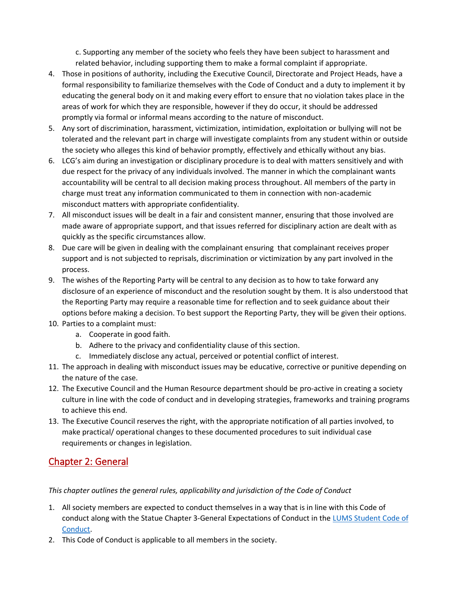c. Supporting any member of the society who feels they have been subject to harassment and related behavior, including supporting them to make a formal complaint if appropriate.

- 4. Those in positions of authority, including the Executive Council, Directorate and Project Heads, have a formal responsibility to familiarize themselves with the Code of Conduct and a duty to implement it by educating the general body on it and making every effort to ensure that no violation takes place in the areas of work for which they are responsible, however if they do occur, it should be addressed promptly via formal or informal means according to the nature of misconduct.
- 5. Any sort of discrimination, harassment, victimization, intimidation, exploitation or bullying will not be tolerated and the relevant part in charge will investigate complaints from any student within or outside the society who alleges this kind of behavior promptly, effectively and ethically without any bias.
- 6. LCG's aim during an investigation or disciplinary procedure is to deal with matters sensitively and with due respect for the privacy of any individuals involved. The manner in which the complainant wants accountability will be central to all decision making process throughout. All members of the party in charge must treat any information communicated to them in connection with non-academic misconduct matters with appropriate confidentiality.
- 7. All misconduct issues will be dealt in a fair and consistent manner, ensuring that those involved are made aware of appropriate support, and that issues referred for disciplinary action are dealt with as quickly as the specific circumstances allow.
- 8. Due care will be given in dealing with the complainant ensuring that complainant receives proper support and is not subjected to reprisals, discrimination or victimization by any part involved in the process.
- 9. The wishes of the Reporting Party will be central to any decision as to how to take forward any disclosure of an experience of misconduct and the resolution sought by them. It is also understood that the Reporting Party may require a reasonable time for reflection and to seek guidance about their options before making a decision. To best support the Reporting Party, they will be given their options.
- 10. Parties to a complaint must:
	- a. Cooperate in good faith.
	- b. Adhere to the privacy and confidentiality clause of this section.
	- c. Immediately disclose any actual, perceived or potential conflict of interest.
- 11. The approach in dealing with misconduct issues may be educative, corrective or punitive depending on the nature of the case.
- 12. The Executive Council and the Human Resource department should be pro-active in creating a society culture in line with the code of conduct and in developing strategies, frameworks and training programs to achieve this end.
- 13. The Executive Council reserves the right, with the appropriate notification of all parties involved, to make practical/ operational changes to these documented procedures to suit individual case requirements or changes in legislation.

#### Chapter 2: General

#### *This chapter outlines the general rules, applicability and jurisdiction of the Code of Conduct*

- 1. All society members are expected to conduct themselves in a way that is in line with this Code of conduct along with the Statue Chapter 3-General Expectations of Conduct in the [LUMS Student Code of](file:///C:/Users/User/Downloads/Student%20Code%20of%20Conduct.v06.pdf)  [Conduct.](file:///C:/Users/User/Downloads/Student%20Code%20of%20Conduct.v06.pdf)
- 2. This Code of Conduct is applicable to all members in the society.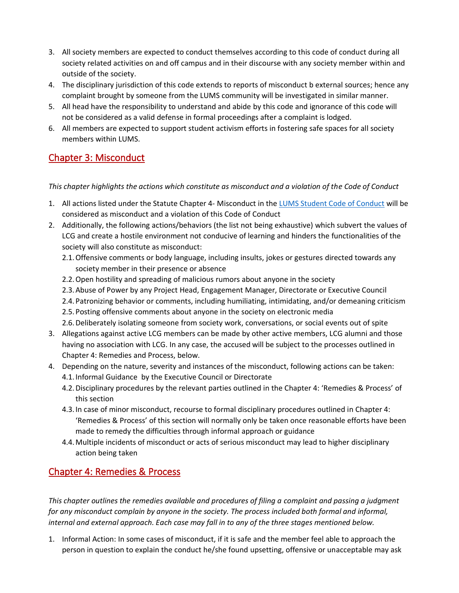- 3. All society members are expected to conduct themselves according to this code of conduct during all society related activities on and off campus and in their discourse with any society member within and outside of the society.
- 4. The disciplinary jurisdiction of this code extends to reports of misconduct b external sources; hence any complaint brought by someone from the LUMS community will be investigated in similar manner.
- 5. All head have the responsibility to understand and abide by this code and ignorance of this code will not be considered as a valid defense in formal proceedings after a complaint is lodged.
- 6. All members are expected to support student activism efforts in fostering safe spaces for all society members within LUMS.

### Chapter 3: Misconduct

#### *This chapter highlights the actions which constitute as misconduct and a violation of the Code of Conduct*

- 1. All actions listed under the Statute Chapter 4- Misconduct in the [LUMS Student Code of Conduct](file:///C:/Users/User/Downloads/Student%20Code%20of%20Conduct.v06.pdf) will be considered as misconduct and a violation of this Code of Conduct
- 2. Additionally, the following actions/behaviors (the list not being exhaustive) which subvert the values of LCG and create a hostile environment not conducive of learning and hinders the functionalities of the society will also constitute as misconduct:
	- 2.1.Offensive comments or body language, including insults, jokes or gestures directed towards any society member in their presence or absence
	- 2.2.Open hostility and spreading of malicious rumors about anyone in the society
	- 2.3.Abuse of Power by any Project Head, Engagement Manager, Directorate or Executive Council
	- 2.4. Patronizing behavior or comments, including humiliating, intimidating, and/or demeaning criticism
	- 2.5. Posting offensive comments about anyone in the society on electronic media
	- 2.6.Deliberately isolating someone from society work, conversations, or social events out of spite
- 3. Allegations against active LCG members can be made by other active members, LCG alumni and those having no association with LCG. In any case, the accused will be subject to the processes outlined in Chapter 4: Remedies and Process, below.
- 4. Depending on the nature, severity and instances of the misconduct, following actions can be taken: 4.1. Informal Guidance by the Executive Council or Directorate
	- 4.2.Disciplinary procedures by the relevant parties outlined in the Chapter 4: 'Remedies & Process' of this section
	- 4.3. In case of minor misconduct, recourse to formal disciplinary procedures outlined in Chapter 4: 'Remedies & Process' of this section will normally only be taken once reasonable efforts have been made to remedy the difficulties through informal approach or guidance
	- 4.4.Multiple incidents of misconduct or acts of serious misconduct may lead to higher disciplinary action being taken

#### Chapter 4: Remedies & Process

*This chapter outlines the remedies available and procedures of filing a complaint and passing a judgment for any misconduct complain by anyone in the society. The process included both formal and informal, internal and external approach. Each case may fall in to any of the three stages mentioned below.* 

1. Informal Action: In some cases of misconduct, if it is safe and the member feel able to approach the person in question to explain the conduct he/she found upsetting, offensive or unacceptable may ask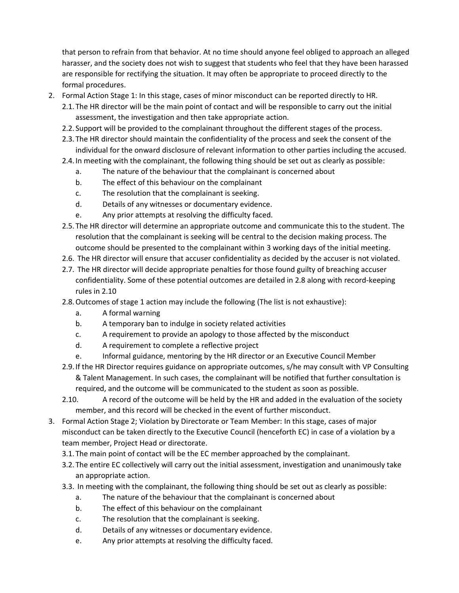that person to refrain from that behavior. At no time should anyone feel obliged to approach an alleged harasser, and the society does not wish to suggest that students who feel that they have been harassed are responsible for rectifying the situation. It may often be appropriate to proceed directly to the formal procedures.

- 2. Formal Action Stage 1: In this stage, cases of minor misconduct can be reported directly to HR.
	- 2.1. The HR director will be the main point of contact and will be responsible to carry out the initial assessment, the investigation and then take appropriate action.
	- 2.2. Support will be provided to the complainant throughout the different stages of the process.
	- 2.3. The HR director should maintain the confidentiality of the process and seek the consent of the individual for the onward disclosure of relevant information to other parties including the accused.
	- 2.4. In meeting with the complainant, the following thing should be set out as clearly as possible:
		- a. The nature of the behaviour that the complainant is concerned about
		- b. The effect of this behaviour on the complainant
		- c. The resolution that the complainant is seeking.
		- d. Details of any witnesses or documentary evidence.
		- e. Any prior attempts at resolving the difficulty faced.
	- 2.5. The HR director will determine an appropriate outcome and communicate this to the student. The resolution that the complainant is seeking will be central to the decision making process. The outcome should be presented to the complainant within 3 working days of the initial meeting.
	- 2.6. The HR director will ensure that accuser confidentiality as decided by the accuser is not violated.
	- 2.7. The HR director will decide appropriate penalties for those found guilty of breaching accuser confidentiality. Some of these potential outcomes are detailed in 2.8 along with record-keeping rules in 2.10
	- 2.8.Outcomes of stage 1 action may include the following (The list is not exhaustive):
		- a. A formal warning
		- b. A temporary ban to indulge in society related activities
		- c. A requirement to provide an apology to those affected by the misconduct
		- d. A requirement to complete a reflective project
		- e. Informal guidance, mentoring by the HR director or an Executive Council Member
	- 2.9. If the HR Director requires guidance on appropriate outcomes, s/he may consult with VP Consulting & Talent Management. In such cases, the complainant will be notified that further consultation is required, and the outcome will be communicated to the student as soon as possible.
	- 2.10. A record of the outcome will be held by the HR and added in the evaluation of the society member, and this record will be checked in the event of further misconduct.
- 3. Formal Action Stage 2; Violation by Directorate or Team Member: In this stage, cases of major misconduct can be taken directly to the Executive Council (henceforth EC) in case of a violation by a team member, Project Head or directorate.
	- 3.1. The main point of contact will be the EC member approached by the complainant.
	- 3.2. The entire EC collectively will carry out the initial assessment, investigation and unanimously take an appropriate action.
	- 3.3. In meeting with the complainant, the following thing should be set out as clearly as possible:
		- a. The nature of the behaviour that the complainant is concerned about
		- b. The effect of this behaviour on the complainant
		- c. The resolution that the complainant is seeking.
		- d. Details of any witnesses or documentary evidence.
		- e. Any prior attempts at resolving the difficulty faced.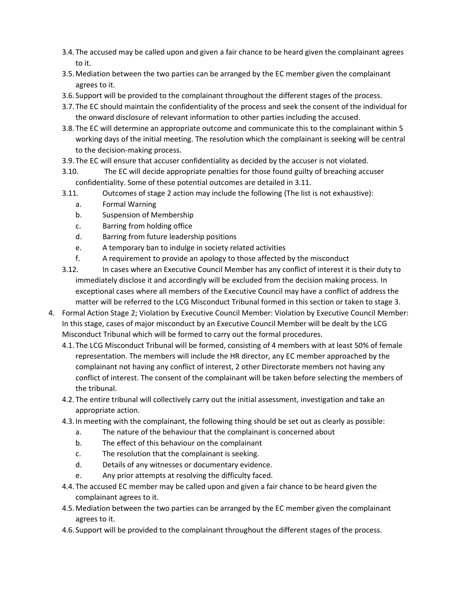- 3.4. The accused may be called upon and given a fair chance to be heard given the complainant agrees to it.
- 3.5.Mediation between the two parties can be arranged by the EC member given the complainant agrees to it.
- 3.6. Support will be provided to the complainant throughout the different stages of the process.
- 3.7. The EC should maintain the confidentiality of the process and seek the consent of the individual for the onward disclosure of relevant information to other parties including the accused.
- 3.8. The EC will determine an appropriate outcome and communicate this to the complainant within 5 working days of the initial meeting. The resolution which the complainant is seeking will be central to the decision-making process.
- 3.9. The EC will ensure that accuser confidentiality as decided by the accuser is not violated.
- 3.10. The EC will decide appropriate penalties for those found guilty of breaching accuser confidentiality. Some of these potential outcomes are detailed in 3.11.
- 3.11. Outcomes of stage 2 action may include the following (The list is not exhaustive):
	- a. Formal Warning
	- b. Suspension of Membership
	- c. Barring from holding office
	- d. Barring from future leadership positions
	- e. A temporary ban to indulge in society related activities
	- f. A requirement to provide an apology to those affected by the misconduct
- 3.12. In cases where an Executive Council Member has any conflict of interest it is their duty to immediately disclose it and accordingly will be excluded from the decision making process. In exceptional cases where all members of the Executive Council may have a conflict of address the matter will be referred to the LCG Misconduct Tribunal formed in this section or taken to stage 3.
- 4. Formal Action Stage 2; Violation by Executive Council Member: Violation by Executive Council Member: In this stage, cases of major misconduct by an Executive Council Member will be dealt by the LCG Misconduct Tribunal which will be formed to carry out the formal procedures.
	- 4.1. The LCG Misconduct Tribunal will be formed, consisting of 4 members with at least 50% of female representation. The members will include the HR director, any EC member approached by the complainant not having any conflict of interest, 2 other Directorate members not having any conflict of interest. The consent of the complainant will be taken before selecting the members of the tribunal.
	- 4.2. The entire tribunal will collectively carry out the initial assessment, investigation and take an appropriate action.
	- 4.3. In meeting with the complainant, the following thing should be set out as clearly as possible:
		- a. The nature of the behaviour that the complainant is concerned about
		- b. The effect of this behaviour on the complainant
		- c. The resolution that the complainant is seeking.
		- d. Details of any witnesses or documentary evidence.
		- e. Any prior attempts at resolving the difficulty faced.
	- 4.4. The accused EC member may be called upon and given a fair chance to be heard given the complainant agrees to it.
	- 4.5.Mediation between the two parties can be arranged by the EC member given the complainant agrees to it.
	- 4.6. Support will be provided to the complainant throughout the different stages of the process.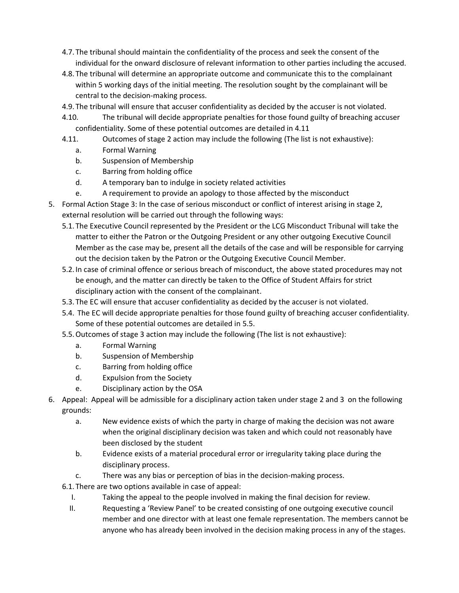- 4.7. The tribunal should maintain the confidentiality of the process and seek the consent of the individual for the onward disclosure of relevant information to other parties including the accused.
- 4.8. The tribunal will determine an appropriate outcome and communicate this to the complainant within 5 working days of the initial meeting. The resolution sought by the complainant will be central to the decision-making process.
- 4.9. The tribunal will ensure that accuser confidentiality as decided by the accuser is not violated.
- 4.10. The tribunal will decide appropriate penalties for those found guilty of breaching accuser confidentiality. Some of these potential outcomes are detailed in 4.11
- 4.11. Outcomes of stage 2 action may include the following (The list is not exhaustive):
	- a. Formal Warning
	- b. Suspension of Membership
	- c. Barring from holding office
	- d. A temporary ban to indulge in society related activities
	- e. A requirement to provide an apology to those affected by the misconduct
- 5. Formal Action Stage 3: In the case of serious misconduct or conflict of interest arising in stage 2, external resolution will be carried out through the following ways:
	- 5.1. The Executive Council represented by the President or the LCG Misconduct Tribunal will take the matter to either the Patron or the Outgoing President or any other outgoing Executive Council Member as the case may be, present all the details of the case and will be responsible for carrying out the decision taken by the Patron or the Outgoing Executive Council Member.
	- 5.2. In case of criminal offence or serious breach of misconduct, the above stated procedures may not be enough, and the matter can directly be taken to the Office of Student Affairs for strict disciplinary action with the consent of the complainant.
	- 5.3. The EC will ensure that accuser confidentiality as decided by the accuser is not violated.
	- 5.4. The EC will decide appropriate penalties for those found guilty of breaching accuser confidentiality. Some of these potential outcomes are detailed in 5.5.
	- 5.5.Outcomes of stage 3 action may include the following (The list is not exhaustive):
		- a. Formal Warning
		- b. Suspension of Membership
		- c. Barring from holding office
		- d. Expulsion from the Society
		- e. Disciplinary action by the OSA
- 6. Appeal: Appeal will be admissible for a disciplinary action taken under stage 2 and 3 on the following grounds:
	- a. New evidence exists of which the party in charge of making the decision was not aware when the original disciplinary decision was taken and which could not reasonably have been disclosed by the student
	- b. Evidence exists of a material procedural error or irregularity taking place during the disciplinary process.
	- c. There was any bias or perception of bias in the decision-making process.
	- 6.1. There are two options available in case of appeal:
		- I. Taking the appeal to the people involved in making the final decision for review.
		- II. Requesting a 'Review Panel' to be created consisting of one outgoing executive council member and one director with at least one female representation. The members cannot be anyone who has already been involved in the decision making process in any of the stages.